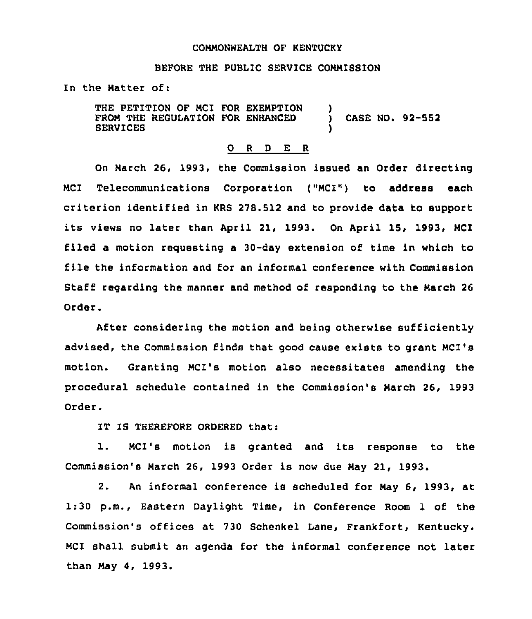## COMMONWEALTH OF KERTUCKX

## BEFORE THE PUBLIC SERVICE COMMISSION

In the Natter of:

THE PETITION OF MCI FOR EXEMPTION FROM THE REGULATION FOR ENHANCED SERVICES ) CASE NO. 92-552 )

## 0 <sup>R</sup> <sup>D</sup> E <sup>R</sup>

On Narch 26, 1993, the Commission issued an Order directing MCI Telecommunications Corporation ("MCI") to address each criterion identified in KRS 278.512 and to provide data to support its views no later than April 21, 1993. On April 15, 1993, NCI filed a motion requesting a 30-day extension of time in which to file the information and for an informal conference with Commission Staff regarding the manner and method of responding to the March 26 Order.

After considering the motion and being otherwise sufficiently advised, the Commission finds that good cause exists to grant NC1's motion. Granting NCI's motion also necessitates amending the procedural schedule contained in the Commission's Narch 26, 1993 Order.

IT IS THEREFORE ORDERED that:

1. MCI's motion is granted and its response to the Commission's March 26, 1993 Order is now due Nay 21, 1993.

2. An informal conference is scheduled for Nay 6, 1993, at 1:30 p.m., Eastern Daylight Time, in Conference Room 1 of the Commission's offices at 730 Schenkel Lane, Frankfort, Kentucky. NCI shall submit an agenda for the informal conference not later than Nay 4, 1993.